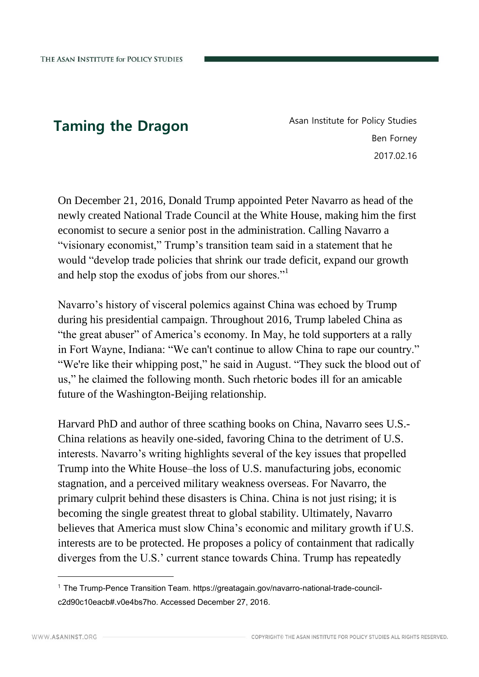**Taming the Dragon** Asan Institute for Policy Studies Ben Forney 2017.02.16

On December 21, 2016, Donald Trump appointed Peter Navarro as head of the newly created National Trade Council at the White House, making him the first economist to secure a senior post in the administration. Calling Navarro a "visionary economist," Trump's transition team said in a statement that he would "develop trade policies that shrink our trade deficit, expand our growth and help stop the exodus of jobs from our shores."<sup>1</sup>

Navarro's history of visceral polemics against China was echoed by Trump during his presidential campaign. Throughout 2016, Trump labeled China as "the great abuser" of America's economy. In May, he told supporters at a rally in Fort Wayne, Indiana: "We can't continue to allow China to rape our country." "We're like their [whipping post,](http://www.cnbc.com/2016/08/11/trump-america-is-whipping-post-and-china-is-the-no-1-abuser.html)" he said in August. "They suck the blood out of us," he claimed the following month. Such rhetoric bodes ill for an amicable future of the Washington-Beijing relationship.

Harvard PhD and author of three scathing books on China, Navarro sees U.S.- China relations as heavily one-sided, favoring China to the detriment of U.S. interests. Navarro's writing highlights several of the key issues that propelled Trump into the White House–the loss of U.S. manufacturing jobs, economic stagnation, and a perceived military weakness overseas. For Navarro, the primary culprit behind these disasters is China. China is not just rising; it is becoming the single greatest threat to global stability. Ultimately, Navarro believes that America must slow China's economic and military growth if U.S. interests are to be protected. He proposes a policy of containment that radically diverges from the U.S.' current stance towards China. Trump has repeatedly

<sup>1</sup> The Trump-Pence Transition Team. https://greatagain.gov/navarro-national-trade-councilc2d90c10eacb#.v0e4bs7ho. Accessed December 27, 2016.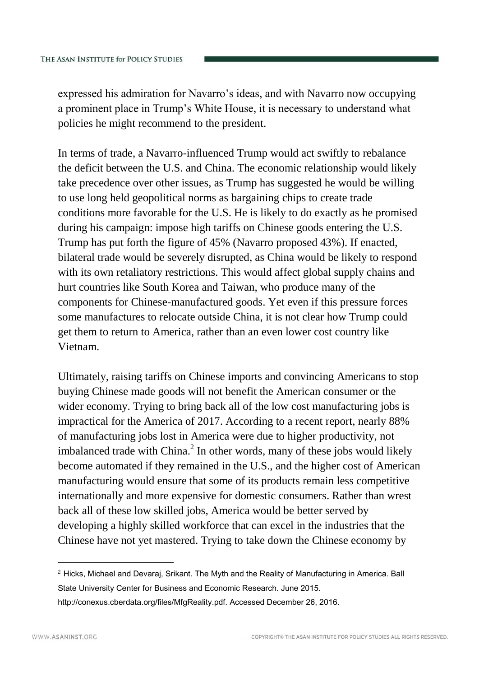expressed his admiration for Navarro's ideas, and with Navarro now occupying a prominent place in Trump's White House, it is necessary to understand what policies he might recommend to the president.

In terms of trade, a Navarro-influenced Trump would act swiftly to rebalance the deficit between the U.S. and China. The economic relationship would likely take precedence over other issues, as Trump has suggested he would be willing to use long held geopolitical norms as bargaining chips to create trade conditions more favorable for the U.S. He is likely to do exactly as he promised during his campaign: impose high tariffs on Chinese goods entering the U.S. Trump has put forth the figure of 45% (Navarro proposed 43%). If enacted, bilateral trade would be severely disrupted, as China would be likely to respond with its own retaliatory restrictions. This would affect global supply chains and hurt countries like South Korea and Taiwan, who produce many of the components for Chinese-manufactured goods. Yet even if this pressure forces some manufactures to relocate outside China, it is not clear how Trump could get them to return to America, rather than an even lower cost country like Vietnam.

Ultimately, raising tariffs on Chinese imports and convincing Americans to stop buying Chinese made goods will not benefit the American consumer or the wider economy. Trying to bring back all of the low cost manufacturing jobs is impractical for the America of 2017. According to a recent report, nearly 88% of manufacturing jobs lost in America were due to higher productivity, not imbalanced trade with China. $^2$  In other words, many of these jobs would likely become automated if they remained in the U.S., and the higher cost of American manufacturing would ensure that some of its products remain less competitive internationally and more expensive for domestic consumers. Rather than wrest back all of these low skilled jobs, America would be better served by developing a highly skilled workforce that can excel in the industries that the Chinese have not yet mastered. Trying to take down the Chinese economy by

 $<sup>2</sup>$  Hicks, Michael and Devaraj, Srikant. The Myth and the Reality of Manufacturing in America. Ball</sup> State University Center for Business and Economic Research. June 2015. http://conexus.cberdata.org/files/MfgReality.pdf. Accessed December 26, 2016.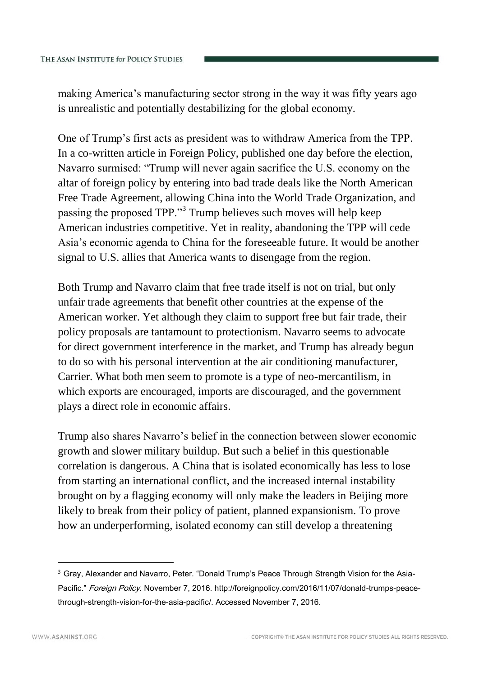making America's manufacturing sector strong in the way it was fifty years ago is unrealistic and potentially destabilizing for the global economy.

One of Trump's first acts as president was to withdraw America from the TPP. In a co-written article in Foreign Policy, published one day before the election, Navarro surmised: "Trump will never again sacrifice the U.S. economy on the altar of foreign policy by entering into bad trade deals like the North American Free Trade Agreement, allowing China into the World Trade Organization, and passing the proposed TPP."<sup>3</sup> Trump believes such moves will help keep American industries competitive. Yet in reality, abandoning the TPP will cede Asia's economic agenda to China for the foreseeable future. It would be another signal to U.S. allies that America wants to disengage from the region.

Both Trump and Navarro claim that free trade itself is not on trial, but only unfair trade agreements that benefit other countries at the expense of the American worker. Yet although they claim to support free but fair trade, their policy proposals are tantamount to protectionism. Navarro seems to advocate for direct government interference in the market, and Trump has already begun to do so with his personal intervention at the air conditioning manufacturer, Carrier. What both men seem to promote is a type of neo-mercantilism, in which exports are encouraged, imports are discouraged, and the government plays a direct role in economic affairs.

Trump also shares Navarro's belief in the connection between slower economic growth and slower military buildup. But such a belief in this questionable correlation is dangerous. A China that is isolated economically has less to lose from starting an international conflict, and the increased internal instability brought on by a flagging economy will only make the leaders in Beijing more likely to break from their policy of patient, planned expansionism. To prove how an underperforming, isolated economy can still develop a threatening

<sup>&</sup>lt;sup>3</sup> Gray, Alexander and Navarro, Peter. "Donald Trump's Peace Through Strength Vision for the Asia-Pacific." Foreign Policy. November 7, 2016. http://foreignpolicy.com/2016/11/07/donald-trumps-peacethrough-strength-vision-for-the-asia-pacific/. Accessed November 7, 2016.